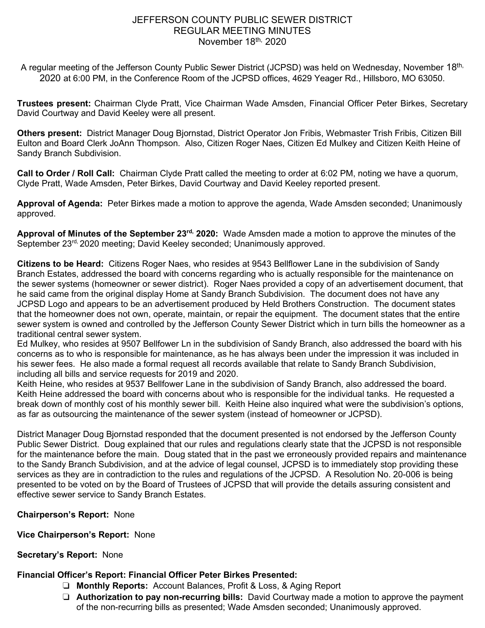## JEFFERSON COUNTY PUBLIC SEWER DISTRICT REGULAR MEETING MINUTES November 18<sup>th,</sup> 2020

A regular meeting of the Jefferson County Public Sewer District (JCPSD) was held on Wednesday, November 18th, 2020 at 6:00 PM, in the Conference Room of the JCPSD offices, 4629 Yeager Rd., Hillsboro, MO 63050.

**Trustees present:** Chairman Clyde Pratt, Vice Chairman Wade Amsden, Financial Officer Peter Birkes, Secretary David Courtway and David Keeley were all present.

**Others present:** District Manager Doug Bjornstad, District Operator Jon Fribis, Webmaster Trish Fribis, Citizen Bill Eulton and Board Clerk JoAnn Thompson. Also, Citizen Roger Naes, Citizen Ed Mulkey and Citizen Keith Heine of Sandy Branch Subdivision.

**Call to Order / Roll Call:** Chairman Clyde Pratt called the meeting to order at 6:02 PM, noting we have a quorum, Clyde Pratt, Wade Amsden, Peter Birkes, David Courtway and David Keeley reported present.

**Approval of Agenda:** Peter Birkes made a motion to approve the agenda, Wade Amsden seconded; Unanimously approved.

**Approval of Minutes of the September 23rd, 2020:** Wade Amsden made a motion to approve the minutes of the September 23<sup>rd,</sup> 2020 meeting; David Keeley seconded; Unanimously approved.

**Citizens to be Heard:** Citizens Roger Naes, who resides at 9543 Bellflower Lane in the subdivision of Sandy Branch Estates, addressed the board with concerns regarding who is actually responsible for the maintenance on the sewer systems (homeowner or sewer district). Roger Naes provided a copy of an advertisement document, that he said came from the original display Home at Sandy Branch Subdivision. The document does not have any JCPSD Logo and appears to be an advertisement produced by Held Brothers Construction. The document states that the homeowner does not own, operate, maintain, or repair the equipment. The document states that the entire sewer system is owned and controlled by the Jefferson County Sewer District which in turn bills the homeowner as a traditional central sewer system.

Ed Mulkey, who resides at 9507 Bellfower Ln in the subdivision of Sandy Branch, also addressed the board with his concerns as to who is responsible for maintenance, as he has always been under the impression it was included in his sewer fees. He also made a formal request all records available that relate to Sandy Branch Subdivision, including all bills and service requests for 2019 and 2020.

Keith Heine, who resides at 9537 Bellfower Lane in the subdivision of Sandy Branch, also addressed the board. Keith Heine addressed the board with concerns about who is responsible for the individual tanks. He requested a break down of monthly cost of his monthly sewer bill. Keith Heine also inquired what were the subdivision's options, as far as outsourcing the maintenance of the sewer system (instead of homeowner or JCPSD).

District Manager Doug Bjornstad responded that the document presented is not endorsed by the Jefferson County Public Sewer District. Doug explained that our rules and regulations clearly state that the JCPSD is not responsible for the maintenance before the main. Doug stated that in the past we erroneously provided repairs and maintenance to the Sandy Branch Subdivision, and at the advice of legal counsel, JCPSD is to immediately stop providing these services as they are in contradiction to the rules and regulations of the JCPSD. A Resolution No. 20-006 is being presented to be voted on by the Board of Trustees of JCPSD that will provide the details assuring consistent and effective sewer service to Sandy Branch Estates.

**Chairperson's Report:** None

**Vice Chairperson's Report:** None

# **Secretary's Report:** None

# **Financial Officer's Report: Financial Officer Peter Birkes Presented:**

- ❏ **Monthly Reports:** Account Balances, Profit & Loss, & Aging Report
- ❏ **Authorization to pay non-recurring bills:** David Courtway made a motion to approve the payment of the non-recurring bills as presented; Wade Amsden seconded; Unanimously approved.